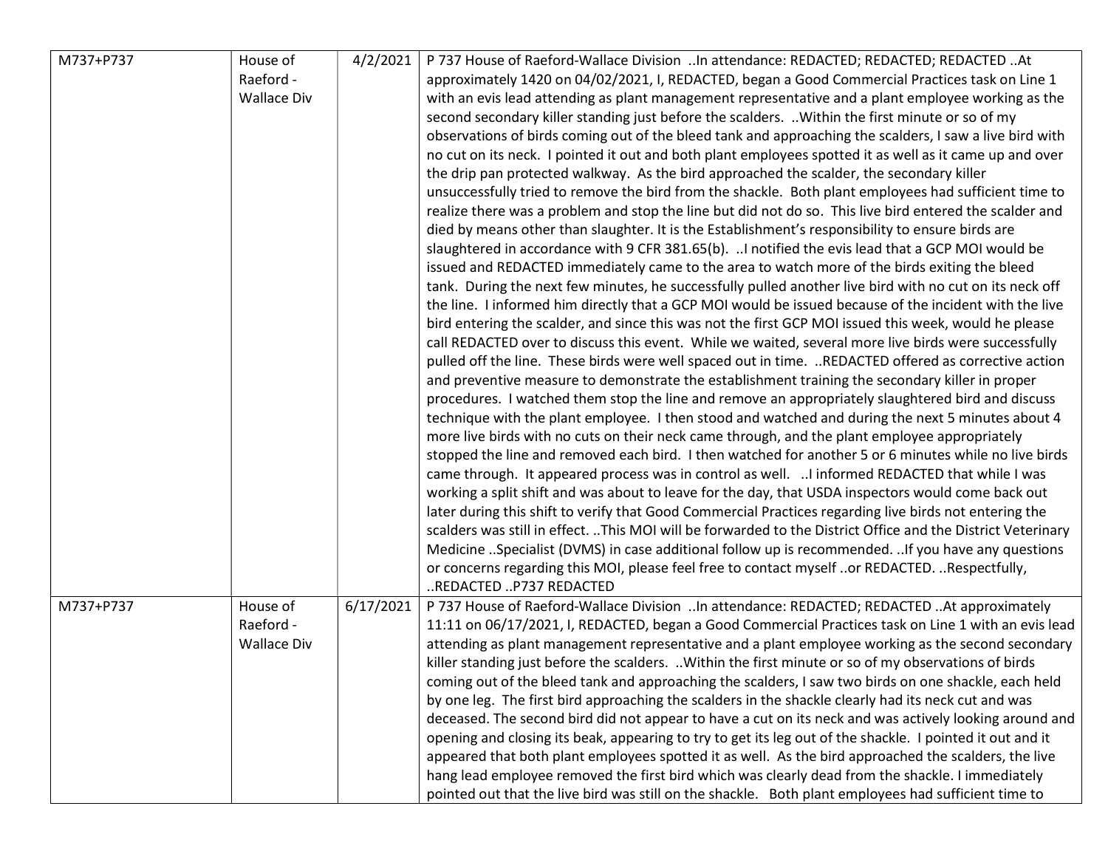| M737+P737 | House of<br>Raeford -<br><b>Wallace Div</b> | 4/2/2021  | P 737 House of Raeford-Wallace Division In attendance: REDACTED; REDACTED; REDACTED At<br>approximately 1420 on 04/02/2021, I, REDACTED, began a Good Commercial Practices task on Line 1<br>with an evis lead attending as plant management representative and a plant employee working as the<br>second secondary killer standing just before the scalders.  Within the first minute or so of my<br>observations of birds coming out of the bleed tank and approaching the scalders, I saw a live bird with<br>no cut on its neck. I pointed it out and both plant employees spotted it as well as it came up and over<br>the drip pan protected walkway. As the bird approached the scalder, the secondary killer<br>unsuccessfully tried to remove the bird from the shackle. Both plant employees had sufficient time to<br>realize there was a problem and stop the line but did not do so. This live bird entered the scalder and<br>died by means other than slaughter. It is the Establishment's responsibility to ensure birds are<br>slaughtered in accordance with 9 CFR 381.65(b).  I notified the evis lead that a GCP MOI would be<br>issued and REDACTED immediately came to the area to watch more of the birds exiting the bleed<br>tank. During the next few minutes, he successfully pulled another live bird with no cut on its neck off<br>the line. I informed him directly that a GCP MOI would be issued because of the incident with the live<br>bird entering the scalder, and since this was not the first GCP MOI issued this week, would he please<br>call REDACTED over to discuss this event. While we waited, several more live birds were successfully<br>pulled off the line. These birds were well spaced out in time.  REDACTED offered as corrective action<br>and preventive measure to demonstrate the establishment training the secondary killer in proper<br>procedures. I watched them stop the line and remove an appropriately slaughtered bird and discuss<br>technique with the plant employee. I then stood and watched and during the next 5 minutes about 4<br>more live birds with no cuts on their neck came through, and the plant employee appropriately<br>stopped the line and removed each bird. I then watched for another 5 or 6 minutes while no live birds<br>came through. It appeared process was in control as well.  I informed REDACTED that while I was |
|-----------|---------------------------------------------|-----------|-----------------------------------------------------------------------------------------------------------------------------------------------------------------------------------------------------------------------------------------------------------------------------------------------------------------------------------------------------------------------------------------------------------------------------------------------------------------------------------------------------------------------------------------------------------------------------------------------------------------------------------------------------------------------------------------------------------------------------------------------------------------------------------------------------------------------------------------------------------------------------------------------------------------------------------------------------------------------------------------------------------------------------------------------------------------------------------------------------------------------------------------------------------------------------------------------------------------------------------------------------------------------------------------------------------------------------------------------------------------------------------------------------------------------------------------------------------------------------------------------------------------------------------------------------------------------------------------------------------------------------------------------------------------------------------------------------------------------------------------------------------------------------------------------------------------------------------------------------------------------------------------------------------------------------------------------------------------------------------------------------------------------------------------------------------------------------------------------------------------------------------------------------------------------------------------------------------------------------------------------------------------------------------------------------------------------------------------------------------------------------------------------------------------------------|
|           |                                             |           | later during this shift to verify that Good Commercial Practices regarding live birds not entering the<br>scalders was still in effect. This MOI will be forwarded to the District Office and the District Veterinary<br>Medicine Specialist (DVMS) in case additional follow up is recommended. If you have any questions<br>or concerns regarding this MOI, please feel free to contact myself or REDACTED. Respectfully,<br>REDACTED P737 REDACTED                                                                                                                                                                                                                                                                                                                                                                                                                                                                                                                                                                                                                                                                                                                                                                                                                                                                                                                                                                                                                                                                                                                                                                                                                                                                                                                                                                                                                                                                                                                                                                                                                                                                                                                                                                                                                                                                                                                                                                       |
| M737+P737 | House of<br>Raeford -<br><b>Wallace Div</b> | 6/17/2021 | P 737 House of Raeford-Wallace Division In attendance: REDACTED; REDACTED At approximately<br>11:11 on 06/17/2021, I, REDACTED, began a Good Commercial Practices task on Line 1 with an evis lead<br>attending as plant management representative and a plant employee working as the second secondary<br>killer standing just before the scalders.  Within the first minute or so of my observations of birds<br>coming out of the bleed tank and approaching the scalders, I saw two birds on one shackle, each held<br>by one leg. The first bird approaching the scalders in the shackle clearly had its neck cut and was<br>deceased. The second bird did not appear to have a cut on its neck and was actively looking around and<br>opening and closing its beak, appearing to try to get its leg out of the shackle. I pointed it out and it<br>appeared that both plant employees spotted it as well. As the bird approached the scalders, the live<br>hang lead employee removed the first bird which was clearly dead from the shackle. I immediately<br>pointed out that the live bird was still on the shackle. Both plant employees had sufficient time to                                                                                                                                                                                                                                                                                                                                                                                                                                                                                                                                                                                                                                                                                                                                                                                                                                                                                                                                                                                                                                                                                                                                                                                                                                                   |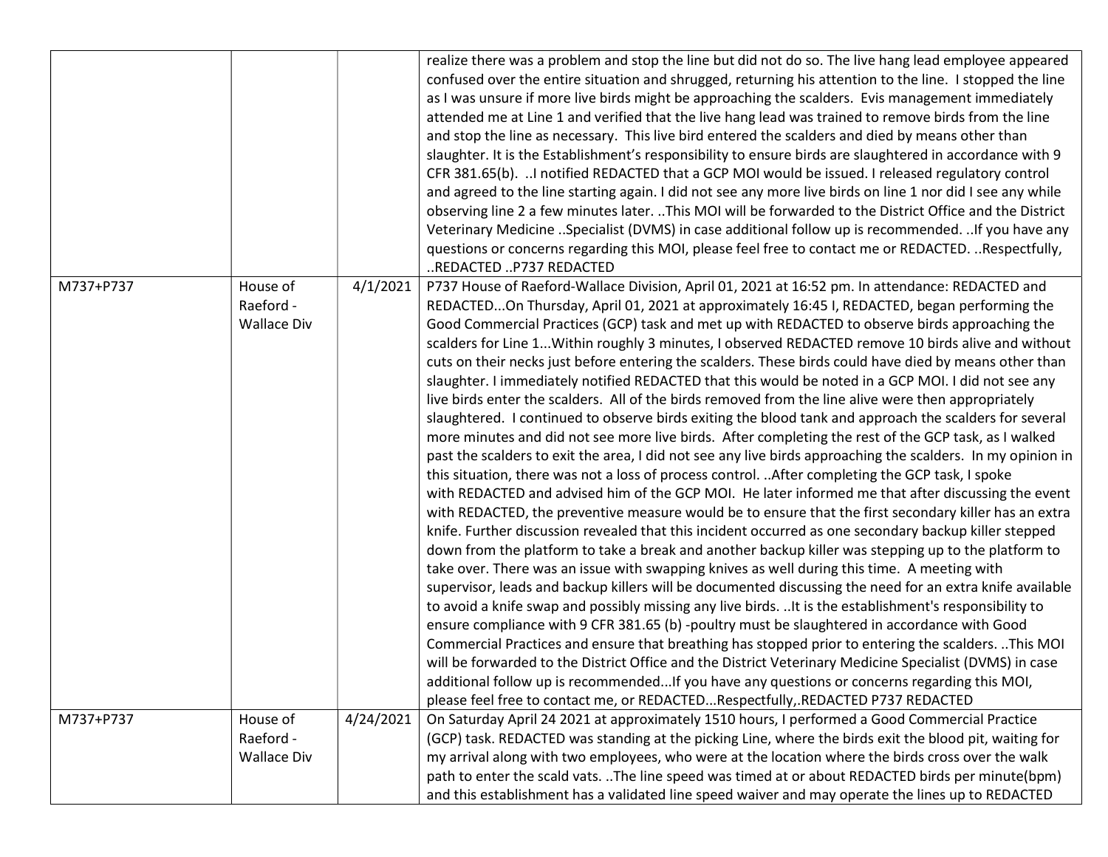|           |                                             |           | realize there was a problem and stop the line but did not do so. The live hang lead employee appeared<br>confused over the entire situation and shrugged, returning his attention to the line. I stopped the line<br>as I was unsure if more live birds might be approaching the scalders. Evis management immediately<br>attended me at Line 1 and verified that the live hang lead was trained to remove birds from the line<br>and stop the line as necessary. This live bird entered the scalders and died by means other than<br>slaughter. It is the Establishment's responsibility to ensure birds are slaughtered in accordance with 9<br>CFR 381.65(b). I notified REDACTED that a GCP MOI would be issued. I released regulatory control<br>and agreed to the line starting again. I did not see any more live birds on line 1 nor did I see any while<br>observing line 2 a few minutes later. This MOI will be forwarded to the District Office and the District<br>Veterinary Medicine Specialist (DVMS) in case additional follow up is recommended. If you have any<br>questions or concerns regarding this MOI, please feel free to contact me or REDACTED. Respectfully,<br>REDACTED P737 REDACTED                                                                                                                                                                                                                                                                                                                                                                                                                                                                                                                                                                                                                                                                                                                                                                                                                                                                                                                                                                                                                                                                                                                                                                                                             |
|-----------|---------------------------------------------|-----------|---------------------------------------------------------------------------------------------------------------------------------------------------------------------------------------------------------------------------------------------------------------------------------------------------------------------------------------------------------------------------------------------------------------------------------------------------------------------------------------------------------------------------------------------------------------------------------------------------------------------------------------------------------------------------------------------------------------------------------------------------------------------------------------------------------------------------------------------------------------------------------------------------------------------------------------------------------------------------------------------------------------------------------------------------------------------------------------------------------------------------------------------------------------------------------------------------------------------------------------------------------------------------------------------------------------------------------------------------------------------------------------------------------------------------------------------------------------------------------------------------------------------------------------------------------------------------------------------------------------------------------------------------------------------------------------------------------------------------------------------------------------------------------------------------------------------------------------------------------------------------------------------------------------------------------------------------------------------------------------------------------------------------------------------------------------------------------------------------------------------------------------------------------------------------------------------------------------------------------------------------------------------------------------------------------------------------------------------------------------------------------------------------------------------------------|
| M737+P737 | House of<br>Raeford -<br><b>Wallace Div</b> | 4/1/2021  | P737 House of Raeford-Wallace Division, April 01, 2021 at 16:52 pm. In attendance: REDACTED and<br>REDACTEDOn Thursday, April 01, 2021 at approximately 16:45 I, REDACTED, began performing the<br>Good Commercial Practices (GCP) task and met up with REDACTED to observe birds approaching the<br>scalders for Line 1 Within roughly 3 minutes, I observed REDACTED remove 10 birds alive and without<br>cuts on their necks just before entering the scalders. These birds could have died by means other than<br>slaughter. I immediately notified REDACTED that this would be noted in a GCP MOI. I did not see any<br>live birds enter the scalders. All of the birds removed from the line alive were then appropriately<br>slaughtered. I continued to observe birds exiting the blood tank and approach the scalders for several<br>more minutes and did not see more live birds. After completing the rest of the GCP task, as I walked<br>past the scalders to exit the area, I did not see any live birds approaching the scalders. In my opinion in<br>this situation, there was not a loss of process control.  After completing the GCP task, I spoke<br>with REDACTED and advised him of the GCP MOI. He later informed me that after discussing the event<br>with REDACTED, the preventive measure would be to ensure that the first secondary killer has an extra<br>knife. Further discussion revealed that this incident occurred as one secondary backup killer stepped<br>down from the platform to take a break and another backup killer was stepping up to the platform to<br>take over. There was an issue with swapping knives as well during this time. A meeting with<br>supervisor, leads and backup killers will be documented discussing the need for an extra knife available<br>to avoid a knife swap and possibly missing any live birds.  It is the establishment's responsibility to<br>ensure compliance with 9 CFR 381.65 (b) -poultry must be slaughtered in accordance with Good<br>Commercial Practices and ensure that breathing has stopped prior to entering the scalders. This MOI<br>will be forwarded to the District Office and the District Veterinary Medicine Specialist (DVMS) in case<br>additional follow up is recommendedIf you have any questions or concerns regarding this MOI,<br>please feel free to contact me, or REDACTEDRespectfully,.REDACTED P737 REDACTED |
| M737+P737 | House of                                    | 4/24/2021 | On Saturday April 24 2021 at approximately 1510 hours, I performed a Good Commercial Practice                                                                                                                                                                                                                                                                                                                                                                                                                                                                                                                                                                                                                                                                                                                                                                                                                                                                                                                                                                                                                                                                                                                                                                                                                                                                                                                                                                                                                                                                                                                                                                                                                                                                                                                                                                                                                                                                                                                                                                                                                                                                                                                                                                                                                                                                                                                                   |
|           | Raeford -<br><b>Wallace Div</b>             |           | (GCP) task. REDACTED was standing at the picking Line, where the birds exit the blood pit, waiting for<br>my arrival along with two employees, who were at the location where the birds cross over the walk                                                                                                                                                                                                                                                                                                                                                                                                                                                                                                                                                                                                                                                                                                                                                                                                                                                                                                                                                                                                                                                                                                                                                                                                                                                                                                                                                                                                                                                                                                                                                                                                                                                                                                                                                                                                                                                                                                                                                                                                                                                                                                                                                                                                                     |
|           |                                             |           | path to enter the scald vats. The line speed was timed at or about REDACTED birds per minute(bpm)                                                                                                                                                                                                                                                                                                                                                                                                                                                                                                                                                                                                                                                                                                                                                                                                                                                                                                                                                                                                                                                                                                                                                                                                                                                                                                                                                                                                                                                                                                                                                                                                                                                                                                                                                                                                                                                                                                                                                                                                                                                                                                                                                                                                                                                                                                                               |
|           |                                             |           | and this establishment has a validated line speed waiver and may operate the lines up to REDACTED                                                                                                                                                                                                                                                                                                                                                                                                                                                                                                                                                                                                                                                                                                                                                                                                                                                                                                                                                                                                                                                                                                                                                                                                                                                                                                                                                                                                                                                                                                                                                                                                                                                                                                                                                                                                                                                                                                                                                                                                                                                                                                                                                                                                                                                                                                                               |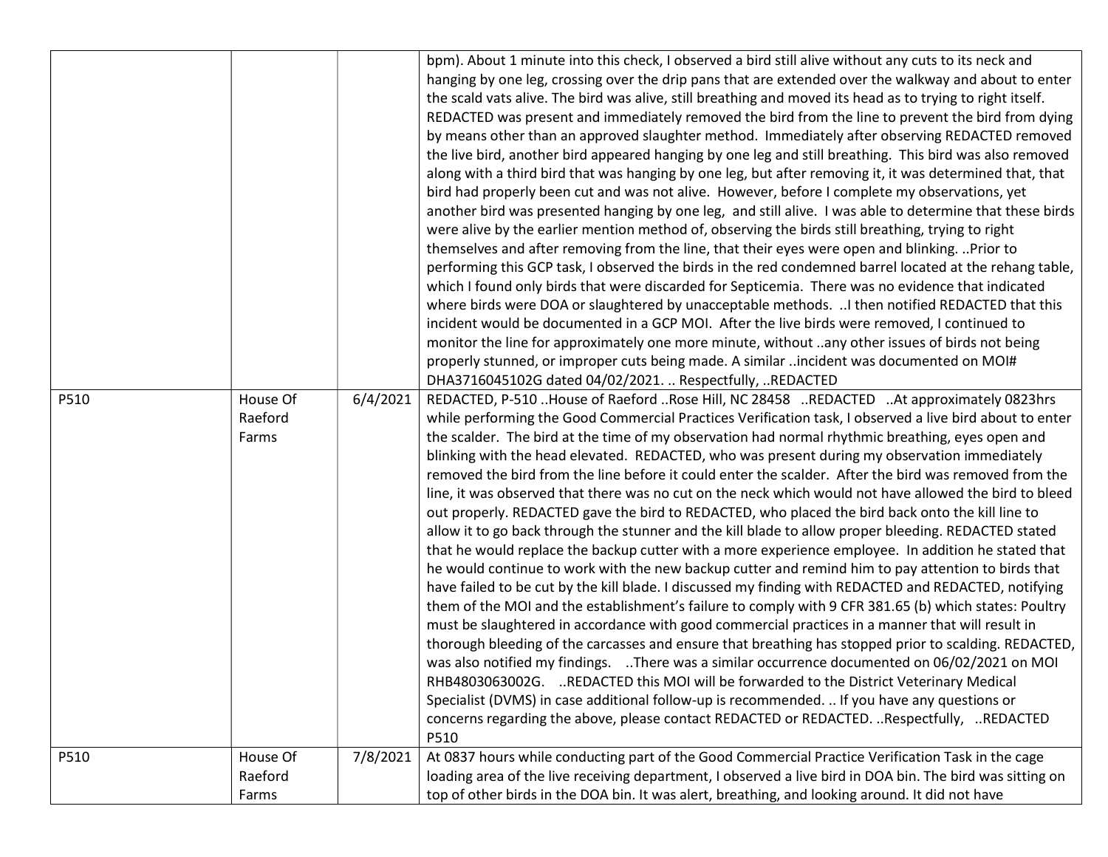|      |                              |          | bpm). About 1 minute into this check, I observed a bird still alive without any cuts to its neck and<br>hanging by one leg, crossing over the drip pans that are extended over the walkway and about to enter<br>the scald vats alive. The bird was alive, still breathing and moved its head as to trying to right itself.<br>REDACTED was present and immediately removed the bird from the line to prevent the bird from dying<br>by means other than an approved slaughter method. Immediately after observing REDACTED removed<br>the live bird, another bird appeared hanging by one leg and still breathing. This bird was also removed<br>along with a third bird that was hanging by one leg, but after removing it, it was determined that, that<br>bird had properly been cut and was not alive. However, before I complete my observations, yet<br>another bird was presented hanging by one leg, and still alive. I was able to determine that these birds<br>were alive by the earlier mention method of, observing the birds still breathing, trying to right<br>themselves and after removing from the line, that their eyes were open and blinking.  Prior to<br>performing this GCP task, I observed the birds in the red condemned barrel located at the rehang table,<br>which I found only birds that were discarded for Septicemia. There was no evidence that indicated<br>where birds were DOA or slaughtered by unacceptable methods.  I then notified REDACTED that this<br>incident would be documented in a GCP MOI. After the live birds were removed, I continued to<br>monitor the line for approximately one more minute, without any other issues of birds not being<br>properly stunned, or improper cuts being made. A similar incident was documented on MOI#<br>DHA3716045102G dated 04/02/2021.  Respectfully,  REDACTED                   |
|------|------------------------------|----------|----------------------------------------------------------------------------------------------------------------------------------------------------------------------------------------------------------------------------------------------------------------------------------------------------------------------------------------------------------------------------------------------------------------------------------------------------------------------------------------------------------------------------------------------------------------------------------------------------------------------------------------------------------------------------------------------------------------------------------------------------------------------------------------------------------------------------------------------------------------------------------------------------------------------------------------------------------------------------------------------------------------------------------------------------------------------------------------------------------------------------------------------------------------------------------------------------------------------------------------------------------------------------------------------------------------------------------------------------------------------------------------------------------------------------------------------------------------------------------------------------------------------------------------------------------------------------------------------------------------------------------------------------------------------------------------------------------------------------------------------------------------------------------------------------------------------------------------------------------------------------------|
| P510 | House Of<br>Raeford<br>Farms | 6/4/2021 | REDACTED, P-510 House of Raeford Rose Hill, NC 28458 REDACTED At approximately 0823hrs<br>while performing the Good Commercial Practices Verification task, I observed a live bird about to enter<br>the scalder. The bird at the time of my observation had normal rhythmic breathing, eyes open and<br>blinking with the head elevated. REDACTED, who was present during my observation immediately<br>removed the bird from the line before it could enter the scalder. After the bird was removed from the<br>line, it was observed that there was no cut on the neck which would not have allowed the bird to bleed<br>out properly. REDACTED gave the bird to REDACTED, who placed the bird back onto the kill line to<br>allow it to go back through the stunner and the kill blade to allow proper bleeding. REDACTED stated<br>that he would replace the backup cutter with a more experience employee. In addition he stated that<br>he would continue to work with the new backup cutter and remind him to pay attention to birds that<br>have failed to be cut by the kill blade. I discussed my finding with REDACTED and REDACTED, notifying<br>them of the MOI and the establishment's failure to comply with 9 CFR 381.65 (b) which states: Poultry<br>must be slaughtered in accordance with good commercial practices in a manner that will result in<br>thorough bleeding of the carcasses and ensure that breathing has stopped prior to scalding. REDACTED,<br>was also notified my findings. There was a similar occurrence documented on 06/02/2021 on MOI<br>RHB4803063002G. REDACTED this MOI will be forwarded to the District Veterinary Medical<br>Specialist (DVMS) in case additional follow-up is recommended.  If you have any questions or<br>concerns regarding the above, please contact REDACTED or REDACTED. Respectfully, REDACTED<br>P510 |
| P510 | House Of<br>Raeford<br>Farms | 7/8/2021 | At 0837 hours while conducting part of the Good Commercial Practice Verification Task in the cage<br>loading area of the live receiving department, I observed a live bird in DOA bin. The bird was sitting on<br>top of other birds in the DOA bin. It was alert, breathing, and looking around. It did not have                                                                                                                                                                                                                                                                                                                                                                                                                                                                                                                                                                                                                                                                                                                                                                                                                                                                                                                                                                                                                                                                                                                                                                                                                                                                                                                                                                                                                                                                                                                                                                |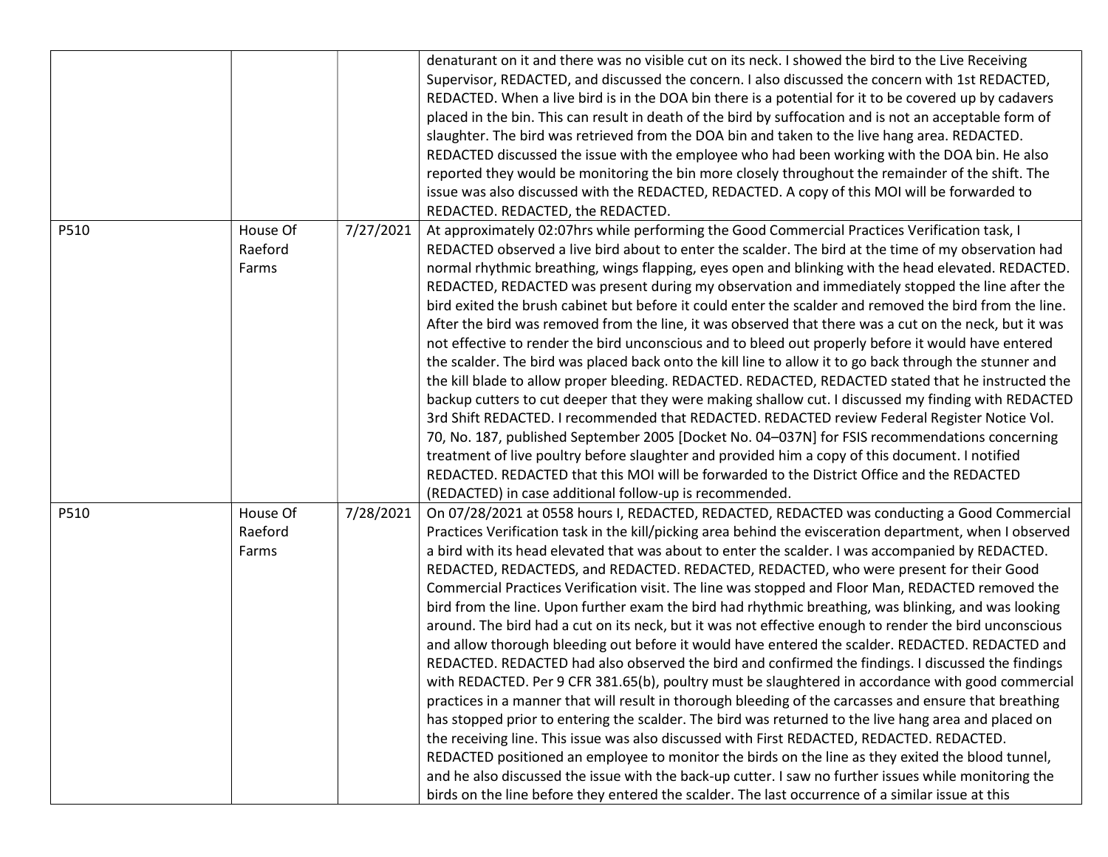|      |                              |           | denaturant on it and there was no visible cut on its neck. I showed the bird to the Live Receiving<br>Supervisor, REDACTED, and discussed the concern. I also discussed the concern with 1st REDACTED,<br>REDACTED. When a live bird is in the DOA bin there is a potential for it to be covered up by cadavers<br>placed in the bin. This can result in death of the bird by suffocation and is not an acceptable form of<br>slaughter. The bird was retrieved from the DOA bin and taken to the live hang area. REDACTED.<br>REDACTED discussed the issue with the employee who had been working with the DOA bin. He also<br>reported they would be monitoring the bin more closely throughout the remainder of the shift. The<br>issue was also discussed with the REDACTED, REDACTED. A copy of this MOI will be forwarded to<br>REDACTED. REDACTED, the REDACTED.                                                                                                                                                                                                                                                                                                                                                                                                                                                                                                                                                                                                                                                                                                                                                                                                           |
|------|------------------------------|-----------|-----------------------------------------------------------------------------------------------------------------------------------------------------------------------------------------------------------------------------------------------------------------------------------------------------------------------------------------------------------------------------------------------------------------------------------------------------------------------------------------------------------------------------------------------------------------------------------------------------------------------------------------------------------------------------------------------------------------------------------------------------------------------------------------------------------------------------------------------------------------------------------------------------------------------------------------------------------------------------------------------------------------------------------------------------------------------------------------------------------------------------------------------------------------------------------------------------------------------------------------------------------------------------------------------------------------------------------------------------------------------------------------------------------------------------------------------------------------------------------------------------------------------------------------------------------------------------------------------------------------------------------------------------------------------------------|
| P510 | House Of<br>Raeford<br>Farms | 7/27/2021 | At approximately 02:07hrs while performing the Good Commercial Practices Verification task, I<br>REDACTED observed a live bird about to enter the scalder. The bird at the time of my observation had<br>normal rhythmic breathing, wings flapping, eyes open and blinking with the head elevated. REDACTED.<br>REDACTED, REDACTED was present during my observation and immediately stopped the line after the<br>bird exited the brush cabinet but before it could enter the scalder and removed the bird from the line.<br>After the bird was removed from the line, it was observed that there was a cut on the neck, but it was<br>not effective to render the bird unconscious and to bleed out properly before it would have entered<br>the scalder. The bird was placed back onto the kill line to allow it to go back through the stunner and<br>the kill blade to allow proper bleeding. REDACTED. REDACTED, REDACTED stated that he instructed the<br>backup cutters to cut deeper that they were making shallow cut. I discussed my finding with REDACTED<br>3rd Shift REDACTED. I recommended that REDACTED. REDACTED review Federal Register Notice Vol.<br>70, No. 187, published September 2005 [Docket No. 04-037N] for FSIS recommendations concerning<br>treatment of live poultry before slaughter and provided him a copy of this document. I notified<br>REDACTED. REDACTED that this MOI will be forwarded to the District Office and the REDACTED<br>(REDACTED) in case additional follow-up is recommended.                                                                                                                                              |
| P510 | House Of<br>Raeford<br>Farms | 7/28/2021 | On 07/28/2021 at 0558 hours I, REDACTED, REDACTED, REDACTED was conducting a Good Commercial<br>Practices Verification task in the kill/picking area behind the evisceration department, when I observed<br>a bird with its head elevated that was about to enter the scalder. I was accompanied by REDACTED.<br>REDACTED, REDACTEDS, and REDACTED. REDACTED, REDACTED, who were present for their Good<br>Commercial Practices Verification visit. The line was stopped and Floor Man, REDACTED removed the<br>bird from the line. Upon further exam the bird had rhythmic breathing, was blinking, and was looking<br>around. The bird had a cut on its neck, but it was not effective enough to render the bird unconscious<br>and allow thorough bleeding out before it would have entered the scalder. REDACTED. REDACTED and<br>REDACTED. REDACTED had also observed the bird and confirmed the findings. I discussed the findings<br>with REDACTED. Per 9 CFR 381.65(b), poultry must be slaughtered in accordance with good commercial<br>practices in a manner that will result in thorough bleeding of the carcasses and ensure that breathing<br>has stopped prior to entering the scalder. The bird was returned to the live hang area and placed on<br>the receiving line. This issue was also discussed with First REDACTED, REDACTED. REDACTED.<br>REDACTED positioned an employee to monitor the birds on the line as they exited the blood tunnel,<br>and he also discussed the issue with the back-up cutter. I saw no further issues while monitoring the<br>birds on the line before they entered the scalder. The last occurrence of a similar issue at this |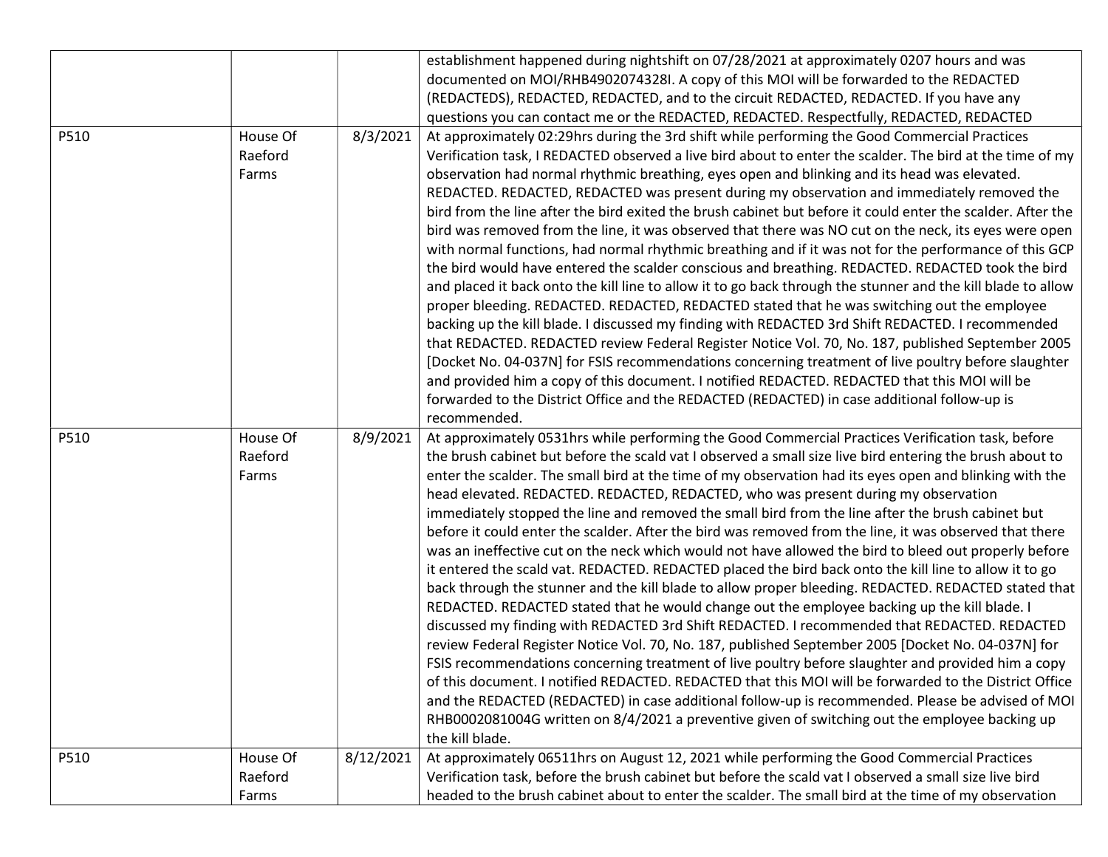|      |                  |           | establishment happened during nightshift on 07/28/2021 at approximately 0207 hours and was                                                                                                                     |
|------|------------------|-----------|----------------------------------------------------------------------------------------------------------------------------------------------------------------------------------------------------------------|
|      |                  |           | documented on MOI/RHB4902074328I. A copy of this MOI will be forwarded to the REDACTED                                                                                                                         |
|      |                  |           | (REDACTEDS), REDACTED, REDACTED, and to the circuit REDACTED, REDACTED. If you have any                                                                                                                        |
|      |                  |           | questions you can contact me or the REDACTED, REDACTED. Respectfully, REDACTED, REDACTED                                                                                                                       |
| P510 | House Of         | 8/3/2021  | At approximately 02:29hrs during the 3rd shift while performing the Good Commercial Practices                                                                                                                  |
|      | Raeford          |           | Verification task, I REDACTED observed a live bird about to enter the scalder. The bird at the time of my                                                                                                      |
|      | Farms            |           | observation had normal rhythmic breathing, eyes open and blinking and its head was elevated.                                                                                                                   |
|      |                  |           | REDACTED. REDACTED, REDACTED was present during my observation and immediately removed the                                                                                                                     |
|      |                  |           | bird from the line after the bird exited the brush cabinet but before it could enter the scalder. After the                                                                                                    |
|      |                  |           | bird was removed from the line, it was observed that there was NO cut on the neck, its eyes were open                                                                                                          |
|      |                  |           | with normal functions, had normal rhythmic breathing and if it was not for the performance of this GCP                                                                                                         |
|      |                  |           | the bird would have entered the scalder conscious and breathing. REDACTED. REDACTED took the bird                                                                                                              |
|      |                  |           | and placed it back onto the kill line to allow it to go back through the stunner and the kill blade to allow                                                                                                   |
|      |                  |           | proper bleeding. REDACTED. REDACTED, REDACTED stated that he was switching out the employee                                                                                                                    |
|      |                  |           | backing up the kill blade. I discussed my finding with REDACTED 3rd Shift REDACTED. I recommended                                                                                                              |
|      |                  |           | that REDACTED. REDACTED review Federal Register Notice Vol. 70, No. 187, published September 2005                                                                                                              |
|      |                  |           | [Docket No. 04-037N] for FSIS recommendations concerning treatment of live poultry before slaughter                                                                                                            |
|      |                  |           | and provided him a copy of this document. I notified REDACTED. REDACTED that this MOI will be                                                                                                                  |
|      |                  |           | forwarded to the District Office and the REDACTED (REDACTED) in case additional follow-up is                                                                                                                   |
|      |                  |           | recommended.                                                                                                                                                                                                   |
|      |                  |           |                                                                                                                                                                                                                |
| P510 | House Of         | 8/9/2021  | At approximately 0531hrs while performing the Good Commercial Practices Verification task, before                                                                                                              |
|      | Raeford          |           | the brush cabinet but before the scald vat I observed a small size live bird entering the brush about to                                                                                                       |
|      | Farms            |           | enter the scalder. The small bird at the time of my observation had its eyes open and blinking with the                                                                                                        |
|      |                  |           | head elevated. REDACTED. REDACTED, REDACTED, who was present during my observation                                                                                                                             |
|      |                  |           | immediately stopped the line and removed the small bird from the line after the brush cabinet but                                                                                                              |
|      |                  |           | before it could enter the scalder. After the bird was removed from the line, it was observed that there                                                                                                        |
|      |                  |           | was an ineffective cut on the neck which would not have allowed the bird to bleed out properly before                                                                                                          |
|      |                  |           | it entered the scald vat. REDACTED. REDACTED placed the bird back onto the kill line to allow it to go                                                                                                         |
|      |                  |           | back through the stunner and the kill blade to allow proper bleeding. REDACTED. REDACTED stated that                                                                                                           |
|      |                  |           | REDACTED. REDACTED stated that he would change out the employee backing up the kill blade. I                                                                                                                   |
|      |                  |           | discussed my finding with REDACTED 3rd Shift REDACTED. I recommended that REDACTED. REDACTED                                                                                                                   |
|      |                  |           | review Federal Register Notice Vol. 70, No. 187, published September 2005 [Docket No. 04-037N] for                                                                                                             |
|      |                  |           | FSIS recommendations concerning treatment of live poultry before slaughter and provided him a copy                                                                                                             |
|      |                  |           | of this document. I notified REDACTED. REDACTED that this MOI will be forwarded to the District Office                                                                                                         |
|      |                  |           | and the REDACTED (REDACTED) in case additional follow-up is recommended. Please be advised of MOI                                                                                                              |
|      |                  |           | RHB0002081004G written on 8/4/2021 a preventive given of switching out the employee backing up                                                                                                                 |
|      |                  |           | the kill blade.                                                                                                                                                                                                |
| P510 | House Of         | 8/12/2021 | At approximately 06511hrs on August 12, 2021 while performing the Good Commercial Practices                                                                                                                    |
|      | Raeford<br>Farms |           | Verification task, before the brush cabinet but before the scald vat I observed a small size live bird<br>headed to the brush cabinet about to enter the scalder. The small bird at the time of my observation |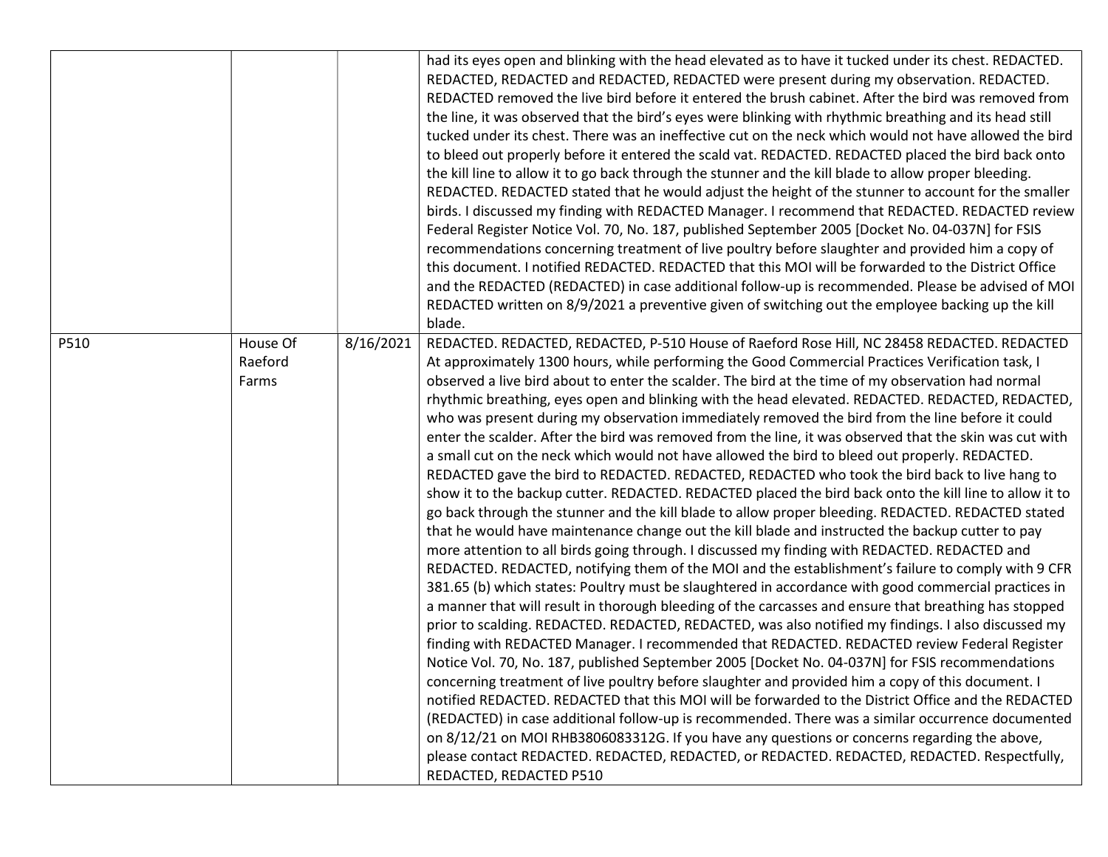|      |                              |           | had its eyes open and blinking with the head elevated as to have it tucked under its chest. REDACTED.<br>REDACTED, REDACTED and REDACTED, REDACTED were present during my observation. REDACTED.<br>REDACTED removed the live bird before it entered the brush cabinet. After the bird was removed from<br>the line, it was observed that the bird's eyes were blinking with rhythmic breathing and its head still<br>tucked under its chest. There was an ineffective cut on the neck which would not have allowed the bird<br>to bleed out properly before it entered the scald vat. REDACTED. REDACTED placed the bird back onto<br>the kill line to allow it to go back through the stunner and the kill blade to allow proper bleeding.<br>REDACTED. REDACTED stated that he would adjust the height of the stunner to account for the smaller<br>birds. I discussed my finding with REDACTED Manager. I recommend that REDACTED. REDACTED review<br>Federal Register Notice Vol. 70, No. 187, published September 2005 [Docket No. 04-037N] for FSIS<br>recommendations concerning treatment of live poultry before slaughter and provided him a copy of<br>this document. I notified REDACTED. REDACTED that this MOI will be forwarded to the District Office<br>and the REDACTED (REDACTED) in case additional follow-up is recommended. Please be advised of MOI<br>REDACTED written on 8/9/2021 a preventive given of switching out the employee backing up the kill<br>blade.                                                                                                                                                                                                                                                                                                                                                                                                                                                                                                                                                                                                                                                                                                                                                                                                                                                                                                                                     |
|------|------------------------------|-----------|-------------------------------------------------------------------------------------------------------------------------------------------------------------------------------------------------------------------------------------------------------------------------------------------------------------------------------------------------------------------------------------------------------------------------------------------------------------------------------------------------------------------------------------------------------------------------------------------------------------------------------------------------------------------------------------------------------------------------------------------------------------------------------------------------------------------------------------------------------------------------------------------------------------------------------------------------------------------------------------------------------------------------------------------------------------------------------------------------------------------------------------------------------------------------------------------------------------------------------------------------------------------------------------------------------------------------------------------------------------------------------------------------------------------------------------------------------------------------------------------------------------------------------------------------------------------------------------------------------------------------------------------------------------------------------------------------------------------------------------------------------------------------------------------------------------------------------------------------------------------------------------------------------------------------------------------------------------------------------------------------------------------------------------------------------------------------------------------------------------------------------------------------------------------------------------------------------------------------------------------------------------------------------------------------------------------------------------------------------------------------------------------------------------------------------|
| P510 | House Of<br>Raeford<br>Farms | 8/16/2021 | REDACTED. REDACTED, REDACTED, P-510 House of Raeford Rose Hill, NC 28458 REDACTED. REDACTED<br>At approximately 1300 hours, while performing the Good Commercial Practices Verification task, I<br>observed a live bird about to enter the scalder. The bird at the time of my observation had normal<br>rhythmic breathing, eyes open and blinking with the head elevated. REDACTED. REDACTED, REDACTED,<br>who was present during my observation immediately removed the bird from the line before it could<br>enter the scalder. After the bird was removed from the line, it was observed that the skin was cut with<br>a small cut on the neck which would not have allowed the bird to bleed out properly. REDACTED.<br>REDACTED gave the bird to REDACTED. REDACTED, REDACTED who took the bird back to live hang to<br>show it to the backup cutter. REDACTED. REDACTED placed the bird back onto the kill line to allow it to<br>go back through the stunner and the kill blade to allow proper bleeding. REDACTED. REDACTED stated<br>that he would have maintenance change out the kill blade and instructed the backup cutter to pay<br>more attention to all birds going through. I discussed my finding with REDACTED. REDACTED and<br>REDACTED. REDACTED, notifying them of the MOI and the establishment's failure to comply with 9 CFR<br>381.65 (b) which states: Poultry must be slaughtered in accordance with good commercial practices in<br>a manner that will result in thorough bleeding of the carcasses and ensure that breathing has stopped<br>prior to scalding. REDACTED. REDACTED, REDACTED, was also notified my findings. I also discussed my<br>finding with REDACTED Manager. I recommended that REDACTED. REDACTED review Federal Register<br>Notice Vol. 70, No. 187, published September 2005 [Docket No. 04-037N] for FSIS recommendations<br>concerning treatment of live poultry before slaughter and provided him a copy of this document. I<br>notified REDACTED. REDACTED that this MOI will be forwarded to the District Office and the REDACTED<br>(REDACTED) in case additional follow-up is recommended. There was a similar occurrence documented<br>on 8/12/21 on MOI RHB3806083312G. If you have any questions or concerns regarding the above,<br>please contact REDACTED. REDACTED, REDACTED, or REDACTED. REDACTED, REDACTED. Respectfully,<br>REDACTED, REDACTED P510 |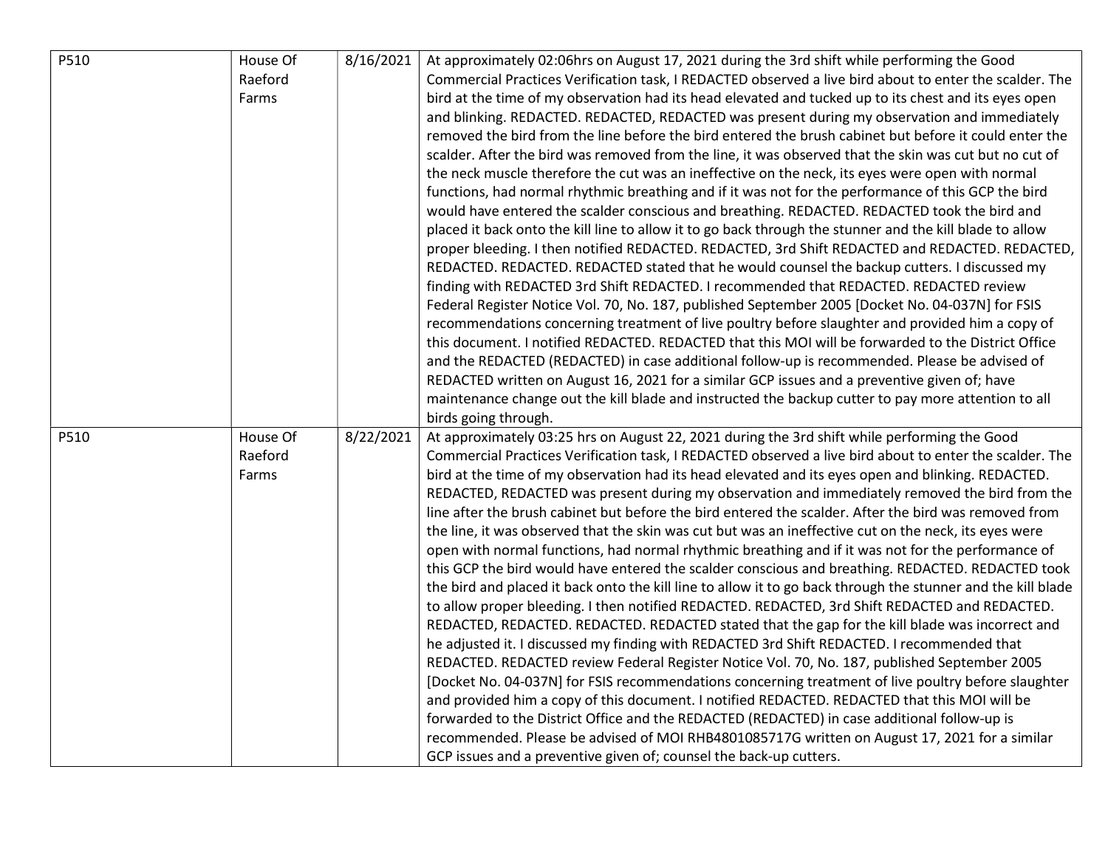| P510 | House Of | 8/16/2021 | At approximately 02:06hrs on August 17, 2021 during the 3rd shift while performing the Good                  |
|------|----------|-----------|--------------------------------------------------------------------------------------------------------------|
|      | Raeford  |           | Commercial Practices Verification task, I REDACTED observed a live bird about to enter the scalder. The      |
|      | Farms    |           | bird at the time of my observation had its head elevated and tucked up to its chest and its eyes open        |
|      |          |           | and blinking. REDACTED. REDACTED, REDACTED was present during my observation and immediately                 |
|      |          |           | removed the bird from the line before the bird entered the brush cabinet but before it could enter the       |
|      |          |           | scalder. After the bird was removed from the line, it was observed that the skin was cut but no cut of       |
|      |          |           | the neck muscle therefore the cut was an ineffective on the neck, its eyes were open with normal             |
|      |          |           | functions, had normal rhythmic breathing and if it was not for the performance of this GCP the bird          |
|      |          |           | would have entered the scalder conscious and breathing. REDACTED. REDACTED took the bird and                 |
|      |          |           | placed it back onto the kill line to allow it to go back through the stunner and the kill blade to allow     |
|      |          |           | proper bleeding. I then notified REDACTED. REDACTED, 3rd Shift REDACTED and REDACTED. REDACTED,              |
|      |          |           | REDACTED. REDACTED. REDACTED stated that he would counsel the backup cutters. I discussed my                 |
|      |          |           | finding with REDACTED 3rd Shift REDACTED. I recommended that REDACTED. REDACTED review                       |
|      |          |           | Federal Register Notice Vol. 70, No. 187, published September 2005 [Docket No. 04-037N] for FSIS             |
|      |          |           | recommendations concerning treatment of live poultry before slaughter and provided him a copy of             |
|      |          |           | this document. I notified REDACTED. REDACTED that this MOI will be forwarded to the District Office          |
|      |          |           | and the REDACTED (REDACTED) in case additional follow-up is recommended. Please be advised of                |
|      |          |           | REDACTED written on August 16, 2021 for a similar GCP issues and a preventive given of; have                 |
|      |          |           | maintenance change out the kill blade and instructed the backup cutter to pay more attention to all          |
|      |          |           | birds going through.                                                                                         |
| P510 | House Of | 8/22/2021 | At approximately 03:25 hrs on August 22, 2021 during the 3rd shift while performing the Good                 |
|      | Raeford  |           | Commercial Practices Verification task, I REDACTED observed a live bird about to enter the scalder. The      |
|      | Farms    |           | bird at the time of my observation had its head elevated and its eyes open and blinking. REDACTED.           |
|      |          |           | REDACTED, REDACTED was present during my observation and immediately removed the bird from the               |
|      |          |           | line after the brush cabinet but before the bird entered the scalder. After the bird was removed from        |
|      |          |           | the line, it was observed that the skin was cut but was an ineffective cut on the neck, its eyes were        |
|      |          |           | open with normal functions, had normal rhythmic breathing and if it was not for the performance of           |
|      |          |           | this GCP the bird would have entered the scalder conscious and breathing. REDACTED. REDACTED took            |
|      |          |           | the bird and placed it back onto the kill line to allow it to go back through the stunner and the kill blade |
|      |          |           | to allow proper bleeding. I then notified REDACTED. REDACTED, 3rd Shift REDACTED and REDACTED.               |
|      |          |           | REDACTED, REDACTED. REDACTED. REDACTED stated that the gap for the kill blade was incorrect and              |
|      |          |           | he adjusted it. I discussed my finding with REDACTED 3rd Shift REDACTED. I recommended that                  |
|      |          |           | REDACTED. REDACTED review Federal Register Notice Vol. 70, No. 187, published September 2005                 |
|      |          |           | [Docket No. 04-037N] for FSIS recommendations concerning treatment of live poultry before slaughter          |
|      |          |           | and provided him a copy of this document. I notified REDACTED. REDACTED that this MOI will be                |
|      |          |           | forwarded to the District Office and the REDACTED (REDACTED) in case additional follow-up is                 |
|      |          |           | recommended. Please be advised of MOI RHB4801085717G written on August 17, 2021 for a similar                |
|      |          |           |                                                                                                              |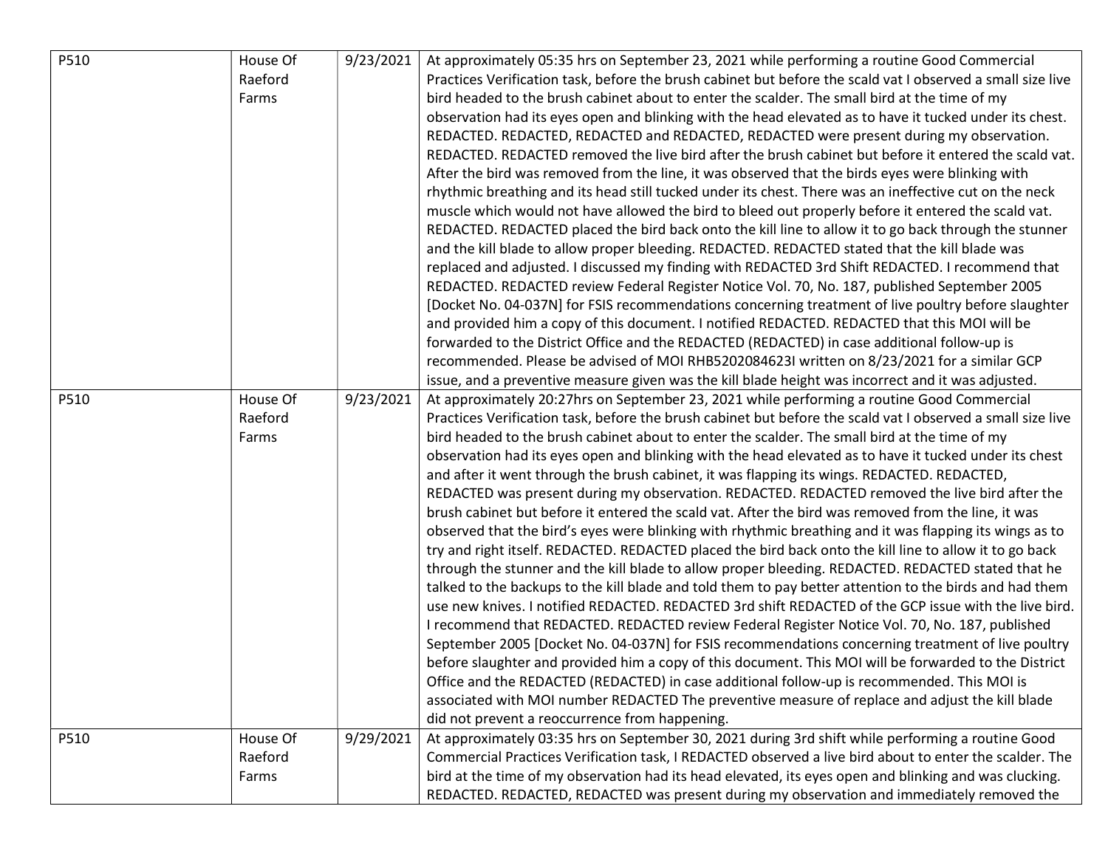| P510 | House Of | 9/23/2021 | At approximately 05:35 hrs on September 23, 2021 while performing a routine Good Commercial                 |
|------|----------|-----------|-------------------------------------------------------------------------------------------------------------|
|      | Raeford  |           | Practices Verification task, before the brush cabinet but before the scald vat I observed a small size live |
|      | Farms    |           | bird headed to the brush cabinet about to enter the scalder. The small bird at the time of my               |
|      |          |           | observation had its eyes open and blinking with the head elevated as to have it tucked under its chest.     |
|      |          |           | REDACTED. REDACTED, REDACTED and REDACTED, REDACTED were present during my observation.                     |
|      |          |           | REDACTED. REDACTED removed the live bird after the brush cabinet but before it entered the scald vat.       |
|      |          |           | After the bird was removed from the line, it was observed that the birds eyes were blinking with            |
|      |          |           | rhythmic breathing and its head still tucked under its chest. There was an ineffective cut on the neck      |
|      |          |           | muscle which would not have allowed the bird to bleed out properly before it entered the scald vat.         |
|      |          |           | REDACTED. REDACTED placed the bird back onto the kill line to allow it to go back through the stunner       |
|      |          |           | and the kill blade to allow proper bleeding. REDACTED. REDACTED stated that the kill blade was              |
|      |          |           | replaced and adjusted. I discussed my finding with REDACTED 3rd Shift REDACTED. I recommend that            |
|      |          |           | REDACTED. REDACTED review Federal Register Notice Vol. 70, No. 187, published September 2005                |
|      |          |           | [Docket No. 04-037N] for FSIS recommendations concerning treatment of live poultry before slaughter         |
|      |          |           | and provided him a copy of this document. I notified REDACTED. REDACTED that this MOI will be               |
|      |          |           | forwarded to the District Office and the REDACTED (REDACTED) in case additional follow-up is                |
|      |          |           | recommended. Please be advised of MOI RHB5202084623I written on 8/23/2021 for a similar GCP                 |
|      |          |           | issue, and a preventive measure given was the kill blade height was incorrect and it was adjusted.          |
| P510 | House Of | 9/23/2021 | At approximately 20:27hrs on September 23, 2021 while performing a routine Good Commercial                  |
|      | Raeford  |           | Practices Verification task, before the brush cabinet but before the scald vat I observed a small size live |
|      | Farms    |           | bird headed to the brush cabinet about to enter the scalder. The small bird at the time of my               |
|      |          |           | observation had its eyes open and blinking with the head elevated as to have it tucked under its chest      |
|      |          |           | and after it went through the brush cabinet, it was flapping its wings. REDACTED. REDACTED,                 |
|      |          |           | REDACTED was present during my observation. REDACTED. REDACTED removed the live bird after the              |
|      |          |           | brush cabinet but before it entered the scald vat. After the bird was removed from the line, it was         |
|      |          |           | observed that the bird's eyes were blinking with rhythmic breathing and it was flapping its wings as to     |
|      |          |           | try and right itself. REDACTED. REDACTED placed the bird back onto the kill line to allow it to go back     |
|      |          |           | through the stunner and the kill blade to allow proper bleeding. REDACTED. REDACTED stated that he          |
|      |          |           | talked to the backups to the kill blade and told them to pay better attention to the birds and had them     |
|      |          |           | use new knives. I notified REDACTED. REDACTED 3rd shift REDACTED of the GCP issue with the live bird.       |
|      |          |           | I recommend that REDACTED. REDACTED review Federal Register Notice Vol. 70, No. 187, published              |
|      |          |           | September 2005 [Docket No. 04-037N] for FSIS recommendations concerning treatment of live poultry           |
|      |          |           | before slaughter and provided him a copy of this document. This MOI will be forwarded to the District       |
|      |          |           | Office and the REDACTED (REDACTED) in case additional follow-up is recommended. This MOI is                 |
|      |          |           | associated with MOI number REDACTED The preventive measure of replace and adjust the kill blade             |
|      |          |           | did not prevent a reoccurrence from happening.                                                              |
| P510 | House Of | 9/29/2021 | At approximately 03:35 hrs on September 30, 2021 during 3rd shift while performing a routine Good           |
|      | Raeford  |           | Commercial Practices Verification task, I REDACTED observed a live bird about to enter the scalder. The     |
|      | Farms    |           | bird at the time of my observation had its head elevated, its eyes open and blinking and was clucking.      |
|      |          |           | REDACTED. REDACTED, REDACTED was present during my observation and immediately removed the                  |